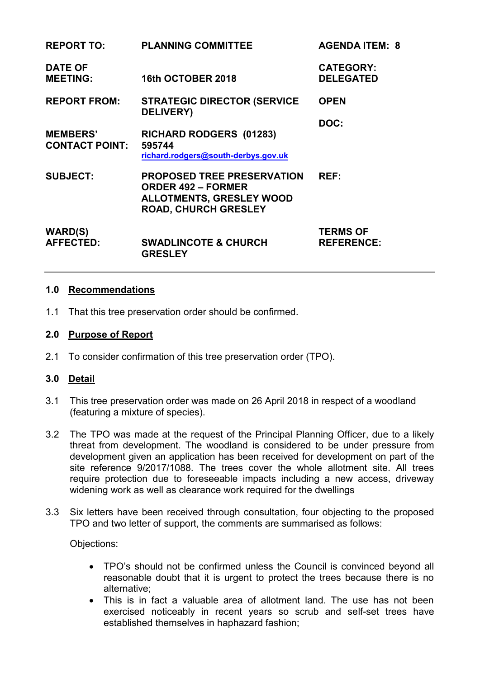| <b>REPORT TO:</b>                        | <b>PLANNING COMMITTEE</b>                                                                                                        | <b>AGENDA ITEM: 8</b>                |
|------------------------------------------|----------------------------------------------------------------------------------------------------------------------------------|--------------------------------------|
| <b>DATE OF</b><br><b>MEETING:</b>        | 16th OCTOBER 2018                                                                                                                | <b>CATEGORY:</b><br><b>DELEGATED</b> |
| <b>REPORT FROM:</b>                      | <b>STRATEGIC DIRECTOR (SERVICE</b><br><b>DELIVERY</b> )                                                                          | <b>OPEN</b>                          |
| <b>MEMBERS'</b><br><b>CONTACT POINT:</b> | RICHARD RODGERS (01283)<br>595744<br>richard.rodgers@south-derbys.gov.uk                                                         | DOC:                                 |
| <b>SUBJECT:</b>                          | <b>PROPOSED TREE PRESERVATION</b><br><b>ORDER 492 - FORMER</b><br><b>ALLOTMENTS, GRESLEY WOOD</b><br><b>ROAD, CHURCH GRESLEY</b> | REF:                                 |
| <b>WARD(S)</b><br><b>AFFECTED:</b>       | <b>SWADLINCOTE &amp; CHURCH</b><br><b>GRESLEY</b>                                                                                | <b>TERMS OF</b><br><b>REFERENCE:</b> |

#### **1.0 Recommendations**

1.1 That this tree preservation order should be confirmed.

#### **2.0 Purpose of Report**

2.1 To consider confirmation of this tree preservation order (TPO).

### **3.0 Detail**

- 3.1 This tree preservation order was made on 26 April 2018 in respect of a woodland (featuring a mixture of species).
- 3.2 The TPO was made at the request of the Principal Planning Officer, due to a likely threat from development. The woodland is considered to be under pressure from development given an application has been received for development on part of the site reference 9/2017/1088. The trees cover the whole allotment site. All trees require protection due to foreseeable impacts including a new access, driveway widening work as well as clearance work required for the dwellings
- 3.3 Six letters have been received through consultation, four objecting to the proposed TPO and two letter of support, the comments are summarised as follows:

Objections:

- TPO's should not be confirmed unless the Council is convinced beyond all reasonable doubt that it is urgent to protect the trees because there is no alternative;
- This is in fact a valuable area of allotment land. The use has not been exercised noticeably in recent years so scrub and self-set trees have established themselves in haphazard fashion;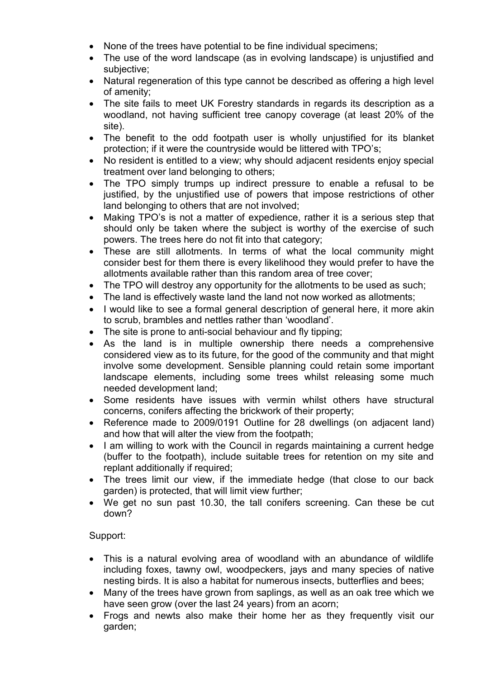- None of the trees have potential to be fine individual specimens;
- The use of the word landscape (as in evolving landscape) is uniustified and subjective;
- Natural regeneration of this type cannot be described as offering a high level of amenity;
- The site fails to meet UK Forestry standards in regards its description as a woodland, not having sufficient tree canopy coverage (at least 20% of the site).
- The benefit to the odd footpath user is wholly unjustified for its blanket protection; if it were the countryside would be littered with TPO's;
- No resident is entitled to a view; why should adjacent residents enjoy special treatment over land belonging to others;
- The TPO simply trumps up indirect pressure to enable a refusal to be justified, by the unjustified use of powers that impose restrictions of other land belonging to others that are not involved;
- Making TPO's is not a matter of expedience, rather it is a serious step that should only be taken where the subject is worthy of the exercise of such powers. The trees here do not fit into that category;
- These are still allotments. In terms of what the local community might consider best for them there is every likelihood they would prefer to have the allotments available rather than this random area of tree cover;
- The TPO will destroy any opportunity for the allotments to be used as such;
- The land is effectively waste land the land not now worked as allotments;
- I would like to see a formal general description of general here, it more akin to scrub, brambles and nettles rather than 'woodland'.
- The site is prone to anti-social behaviour and fly tipping;
- As the land is in multiple ownership there needs a comprehensive considered view as to its future, for the good of the community and that might involve some development. Sensible planning could retain some important landscape elements, including some trees whilst releasing some much needed development land;
- Some residents have issues with vermin whilst others have structural concerns, conifers affecting the brickwork of their property;
- Reference made to 2009/0191 Outline for 28 dwellings (on adjacent land) and how that will alter the view from the footpath;
- I am willing to work with the Council in regards maintaining a current hedge (buffer to the footpath), include suitable trees for retention on my site and replant additionally if required;
- The trees limit our view, if the immediate hedge (that close to our back garden) is protected, that will limit view further;
- We get no sun past 10.30, the tall conifers screening. Can these be cut down?

# Support:

- This is a natural evolving area of woodland with an abundance of wildlife including foxes, tawny owl, woodpeckers, jays and many species of native nesting birds. It is also a habitat for numerous insects, butterflies and bees;
- Many of the trees have grown from saplings, as well as an oak tree which we have seen grow (over the last 24 years) from an acorn;
- Frogs and newts also make their home her as they frequently visit our garden;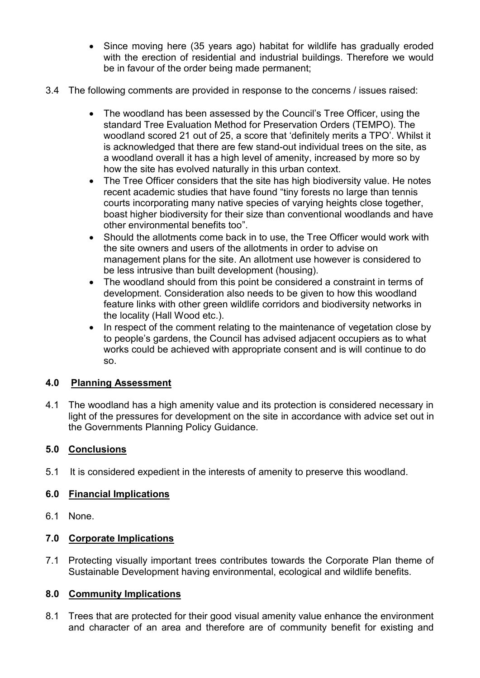- Since moving here (35 years ago) habitat for wildlife has gradually eroded with the erection of residential and industrial buildings. Therefore we would be in favour of the order being made permanent;
- 3.4 The following comments are provided in response to the concerns / issues raised:
	- The woodland has been assessed by the Council's Tree Officer, using the standard Tree Evaluation Method for Preservation Orders (TEMPO). The woodland scored 21 out of 25, a score that 'definitely merits a TPO'. Whilst it is acknowledged that there are few stand-out individual trees on the site, as a woodland overall it has a high level of amenity, increased by more so by how the site has evolved naturally in this urban context.
	- The Tree Officer considers that the site has high biodiversity value. He notes recent academic studies that have found "tiny forests no large than tennis courts incorporating many native species of varying heights close together, boast higher biodiversity for their size than conventional woodlands and have other environmental benefits too".
	- Should the allotments come back in to use, the Tree Officer would work with the site owners and users of the allotments in order to advise on management plans for the site. An allotment use however is considered to be less intrusive than built development (housing).
	- The woodland should from this point be considered a constraint in terms of development. Consideration also needs to be given to how this woodland feature links with other green wildlife corridors and biodiversity networks in the locality (Hall Wood etc.).
	- In respect of the comment relating to the maintenance of vegetation close by to people's gardens, the Council has advised adjacent occupiers as to what works could be achieved with appropriate consent and is will continue to do so.

# **4.0 Planning Assessment**

4.1 The woodland has a high amenity value and its protection is considered necessary in light of the pressures for development on the site in accordance with advice set out in the Governments Planning Policy Guidance.

# **5.0 Conclusions**

5.1 It is considered expedient in the interests of amenity to preserve this woodland.

# **6.0 Financial Implications**

6.1 None.

# **7.0 Corporate Implications**

7.1 Protecting visually important trees contributes towards the Corporate Plan theme of Sustainable Development having environmental, ecological and wildlife benefits.

# **8.0 Community Implications**

8.1 Trees that are protected for their good visual amenity value enhance the environment and character of an area and therefore are of community benefit for existing and